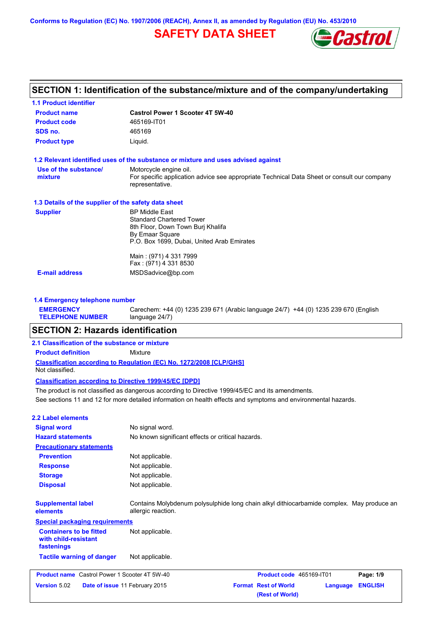**Conforms to Regulation (EC) No. 1907/2006 (REACH), Annex II, as amended by Regulation (EU) No. 453/2010**

# **SAFETY DATA SHEET**



| <b>Castrol Power 1 Scooter 4T 5W-40</b>                                                                        |
|----------------------------------------------------------------------------------------------------------------|
| 465169-IT01                                                                                                    |
| 465169                                                                                                         |
| Liquid.                                                                                                        |
| 1.2 Relevant identified uses of the substance or mixture and uses advised against                              |
| Motorcycle engine oil.                                                                                         |
| For specific application advice see appropriate Technical Data Sheet or consult our company<br>representative. |
| 1.3 Details of the supplier of the safety data sheet                                                           |
| <b>BP Middle East</b>                                                                                          |
| <b>Standard Chartered Tower</b>                                                                                |
| 8th Floor, Down Town Burj Khalifa                                                                              |
| By Emaar Square<br>P.O. Box 1699, Dubai, United Arab Emirates                                                  |
|                                                                                                                |
| Main: (971) 4 331 7999                                                                                         |
| Fax: (971) 4 331 8530                                                                                          |
| MSDSadvice@bp.com                                                                                              |
|                                                                                                                |

| <b>EMERGENCY</b>        | Carechem: +44 (0) 1235 239 671 (Arabic language 24/7) +44 (0) 1235 239 670 (English |
|-------------------------|-------------------------------------------------------------------------------------|
| <b>TELEPHONE NUMBER</b> | language 24/7)                                                                      |

# **SECTION 2: Hazards identification**

## **2.1 Classification of the substance or mixture**

**Product definition** Mixture

**Classification according to Regulation (EC) No. 1272/2008 [CLP/GHS]** Not classified.

### **Classification according to Directive 1999/45/EC [DPD]**

See sections 11 and 12 for more detailed information on health effects and symptoms and environmental hazards. The product is not classified as dangerous according to Directive 1999/45/EC and its amendments.

## **2.2 Label elements**

| <b>Signal word</b>                                                   | No signal word.                                                                                                 |                                                |          |                |
|----------------------------------------------------------------------|-----------------------------------------------------------------------------------------------------------------|------------------------------------------------|----------|----------------|
| <b>Hazard statements</b>                                             | No known significant effects or critical hazards.                                                               |                                                |          |                |
| <b>Precautionary statements</b>                                      |                                                                                                                 |                                                |          |                |
| <b>Prevention</b>                                                    | Not applicable.                                                                                                 |                                                |          |                |
| <b>Response</b>                                                      | Not applicable.                                                                                                 |                                                |          |                |
| <b>Storage</b>                                                       | Not applicable.                                                                                                 |                                                |          |                |
| <b>Disposal</b>                                                      | Not applicable.                                                                                                 |                                                |          |                |
| <b>Supplemental label</b><br>elements                                | Contains Molybdenum polysulphide long chain alkyl dithiocarbamide complex. May produce an<br>allergic reaction. |                                                |          |                |
| <b>Special packaging requirements</b>                                |                                                                                                                 |                                                |          |                |
| <b>Containers to be fitted</b><br>with child-resistant<br>fastenings | Not applicable.                                                                                                 |                                                |          |                |
| <b>Tactile warning of danger</b>                                     | Not applicable.                                                                                                 |                                                |          |                |
| <b>Product name</b> Castrol Power 1 Scooter 4T 5W-40                 |                                                                                                                 | Product code 465169-IT01                       |          | Page: 1/9      |
| Version 5.02                                                         | Date of issue 11 February 2015                                                                                  | <b>Format Rest of World</b><br>(Rest of World) | Language | <b>ENGLISH</b> |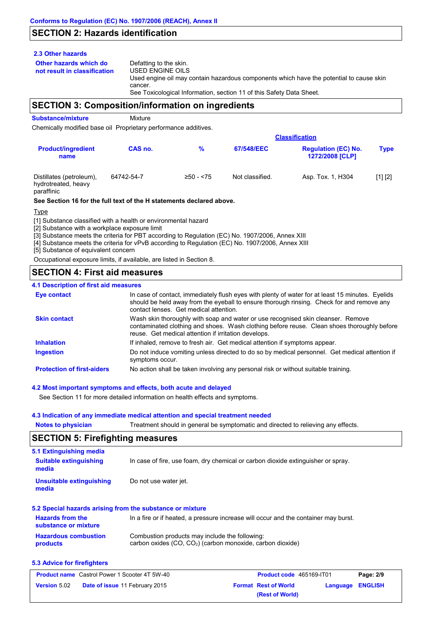# **SECTION 2: Hazards identification**

## **2.3 Other hazards**

**Other hazards which do** 

**not result in classification** Defatting to the skin. USED ENGINE OILS Used engine oil may contain hazardous components which have the potential to cause skin cancer. See Toxicological Information, section 11 of this Safety Data Sheet.

# **SECTION 3: Composition/information on ingredients**

**Substance/mixture** Mixture

Chemically modified base oil Proprietary performance additives.

|                                                               |            | <b>Classification</b> |                 |                                                      |             |  |
|---------------------------------------------------------------|------------|-----------------------|-----------------|------------------------------------------------------|-------------|--|
| <b>Product/ingredient</b><br>name                             | CAS no.    | %                     | 67/548/EEC      | <b>Regulation (EC) No.</b><br><b>1272/2008 [CLP]</b> | <b>Type</b> |  |
| Distillates (petroleum),<br>hydrotreated, heavy<br>paraffinic | 64742-54-7 | $≥50 - 575$           | Not classified. | Asp. Tox. 1, H304                                    | [1] [2]     |  |

### **See Section 16 for the full text of the H statements declared above.**

Type

[1] Substance classified with a health or environmental hazard

[2] Substance with a workplace exposure limit

[3] Substance meets the criteria for PBT according to Regulation (EC) No. 1907/2006, Annex XIII

[4] Substance meets the criteria for vPvB according to Regulation (EC) No. 1907/2006, Annex XIII

[5] Substance of equivalent concern

Occupational exposure limits, if available, are listed in Section 8.

# **SECTION 4: First aid measures**

## **4.1 Description of first aid measures**

| <b>Eye contact</b>                | In case of contact, immediately flush eyes with plenty of water for at least 15 minutes. Eyelids<br>should be held away from the eyeball to ensure thorough rinsing. Check for and remove any<br>contact lenses. Get medical attention. |
|-----------------------------------|-----------------------------------------------------------------------------------------------------------------------------------------------------------------------------------------------------------------------------------------|
| <b>Skin contact</b>               | Wash skin thoroughly with soap and water or use recognised skin cleanser. Remove<br>contaminated clothing and shoes. Wash clothing before reuse. Clean shoes thoroughly before<br>reuse. Get medical attention if irritation develops.  |
| <b>Inhalation</b>                 | If inhaled, remove to fresh air. Get medical attention if symptoms appear.                                                                                                                                                              |
| <b>Ingestion</b>                  | Do not induce vomiting unless directed to do so by medical personnel. Get medical attention if<br>symptoms occur.                                                                                                                       |
| <b>Protection of first-aiders</b> | No action shall be taken involving any personal risk or without suitable training.                                                                                                                                                      |

## **4.2 Most important symptoms and effects, both acute and delayed**

See Section 11 for more detailed information on health effects and symptoms.

## **4.3 Indication of any immediate medical attention and special treatment needed**

**Notes to physician** Treatment should in general be symptomatic and directed to relieving any effects.

# **SECTION 5: Firefighting measures**

| 5.1 Extinguishing media                         |                                                                                     |
|-------------------------------------------------|-------------------------------------------------------------------------------------|
| <b>Suitable extinguishing</b><br>media          | In case of fire, use foam, dry chemical or carbon dioxide extinguisher or spray.    |
| <b>Unsuitable extinguishing</b><br>media        | Do not use water jet.                                                               |
|                                                 | 5.2 Special hazards arising from the substance or mixture                           |
| <b>Hazards from the</b><br>substance or mixture | In a fire or if heated, a pressure increase will occur and the container may burst. |
| <b>Hazardous combustion</b>                     | Combustion products may include the following:                                      |

#### **products** carbon oxides (CO, CO2) (carbon monoxide, carbon dioxide)

## **5.3 Advice for firefighters**

| <b>Product name</b> Castrol Power 1 Scooter 4T 5W-40 |                                       | <b>Product code</b> 465169-IT01 |                             | Page: 2/9        |  |
|------------------------------------------------------|---------------------------------------|---------------------------------|-----------------------------|------------------|--|
| <b>Version</b> 5.02                                  | <b>Date of issue 11 February 2015</b> |                                 | <b>Format Rest of World</b> | Language ENGLISH |  |
|                                                      |                                       |                                 | (Rest of World)             |                  |  |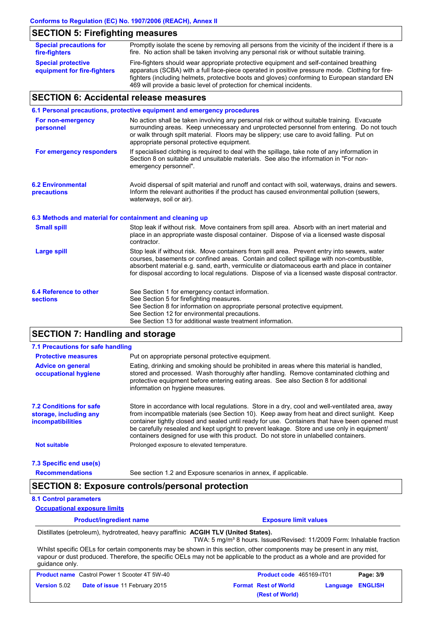# **SECTION 5: Firefighting measures**

| <b>Special precautions for</b><br>fire-fighters          | Promptly isolate the scene by removing all persons from the vicinity of the incident if there is a<br>fire. No action shall be taken involving any personal risk or without suitable training.                                                                                            |
|----------------------------------------------------------|-------------------------------------------------------------------------------------------------------------------------------------------------------------------------------------------------------------------------------------------------------------------------------------------|
| <b>Special protective</b><br>equipment for fire-fighters | Fire-fighters should wear appropriate protective equipment and self-contained breathing<br>apparatus (SCBA) with a full face-piece operated in positive pressure mode. Clothing for fire-<br>fighters (including helmets, protective boots and gloves) conforming to European standard EN |
|                                                          | 469 will provide a basic level of protection for chemical incidents.                                                                                                                                                                                                                      |

# **SECTION 6: Accidental release measures**

|                                                          | 6.1 Personal precautions, protective equipment and emergency procedures                                                                                                                                                                                                                                                                                                                        |
|----------------------------------------------------------|------------------------------------------------------------------------------------------------------------------------------------------------------------------------------------------------------------------------------------------------------------------------------------------------------------------------------------------------------------------------------------------------|
| For non-emergency<br>personnel                           | No action shall be taken involving any personal risk or without suitable training. Evacuate<br>surrounding areas. Keep unnecessary and unprotected personnel from entering. Do not touch<br>or walk through spilt material. Floors may be slippery; use care to avoid falling. Put on<br>appropriate personal protective equipment.                                                            |
| For emergency responders                                 | If specialised clothing is required to deal with the spillage, take note of any information in<br>Section 8 on suitable and unsuitable materials. See also the information in "For non-<br>emergency personnel".                                                                                                                                                                               |
| <b>6.2 Environmental</b><br>precautions                  | Avoid dispersal of spilt material and runoff and contact with soil, waterways, drains and sewers.<br>Inform the relevant authorities if the product has caused environmental pollution (sewers,<br>waterways, soil or air).                                                                                                                                                                    |
| 6.3 Methods and material for containment and cleaning up |                                                                                                                                                                                                                                                                                                                                                                                                |
| <b>Small spill</b>                                       | Stop leak if without risk. Move containers from spill area. Absorb with an inert material and<br>place in an appropriate waste disposal container. Dispose of via a licensed waste disposal<br>contractor.                                                                                                                                                                                     |
| <b>Large spill</b>                                       | Stop leak if without risk. Move containers from spill area. Prevent entry into sewers, water<br>courses, basements or confined areas. Contain and collect spillage with non-combustible,<br>absorbent material e.g. sand, earth, vermiculite or diatomaceous earth and place in container<br>for disposal according to local regulations. Dispose of via a licensed waste disposal contractor. |
| 6.4 Reference to other<br><b>sections</b>                | See Section 1 for emergency contact information.<br>See Section 5 for firefighting measures.<br>See Section 8 for information on appropriate personal protective equipment.<br>See Section 12 for environmental precautions.<br>See Section 13 for additional waste treatment information.                                                                                                     |

# **SECTION 7: Handling and storage**

| 7.1 Precautions for safe handling                                                    |                                                                                                                                                                                                                                                                                                                                                                                                                                                                                          |
|--------------------------------------------------------------------------------------|------------------------------------------------------------------------------------------------------------------------------------------------------------------------------------------------------------------------------------------------------------------------------------------------------------------------------------------------------------------------------------------------------------------------------------------------------------------------------------------|
| <b>Protective measures</b>                                                           | Put on appropriate personal protective equipment.                                                                                                                                                                                                                                                                                                                                                                                                                                        |
| <b>Advice on general</b><br>occupational hygiene                                     | Eating, drinking and smoking should be prohibited in areas where this material is handled,<br>stored and processed. Wash thoroughly after handling. Remove contaminated clothing and<br>protective equipment before entering eating areas. See also Section 8 for additional<br>information on hygiene measures.                                                                                                                                                                         |
| <b>7.2 Conditions for safe</b><br>storage, including any<br><i>incompatibilities</i> | Store in accordance with local requiations. Store in a dry, cool and well-ventilated area, away<br>from incompatible materials (see Section 10). Keep away from heat and direct sunlight. Keep<br>container tightly closed and sealed until ready for use. Containers that have been opened must<br>be carefully resealed and kept upright to prevent leakage. Store and use only in equipment/<br>containers designed for use with this product. Do not store in unlabelled containers. |
| <b>Not suitable</b>                                                                  | Prolonged exposure to elevated temperature.                                                                                                                                                                                                                                                                                                                                                                                                                                              |
| 7.3 Specific end use(s)                                                              |                                                                                                                                                                                                                                                                                                                                                                                                                                                                                          |

**Recommendations**

### See section 1.2 and Exposure scenarios in annex, if applicable.

# **SECTION 8: Exposure controls/personal protection**

## **8.1 Control parameters**

**Occupational exposure limits**

| <b>Product/ingredient name</b> | <b>Exposure limit values</b> |
|--------------------------------|------------------------------|
|                                |                              |

Distillates (petroleum), hydrotreated, heavy paraffinic **ACGIH TLV (United States).**

TWA: 5 mg/m<sup>3</sup> 8 hours. Issued/Revised: 11/2009 Form: Inhalable fraction Whilst specific OELs for certain components may be shown in this section, other components may be present in any mist,

vapour or dust produced. Therefore, the specific OELs may not be applicable to the product as a whole and are provided for guidance only.

| <b>Product name</b> Castrol Power 1 Scooter 4T 5W-40 |                                       | <b>Product code</b> 465169-IT01                        | Page: 3/9 |
|------------------------------------------------------|---------------------------------------|--------------------------------------------------------|-----------|
| <b>Version 5.02</b>                                  | <b>Date of issue 11 February 2015</b> | <b>Format Rest of World</b><br><b>Language ENGLISH</b> |           |
|                                                      |                                       | (Rest of World)                                        |           |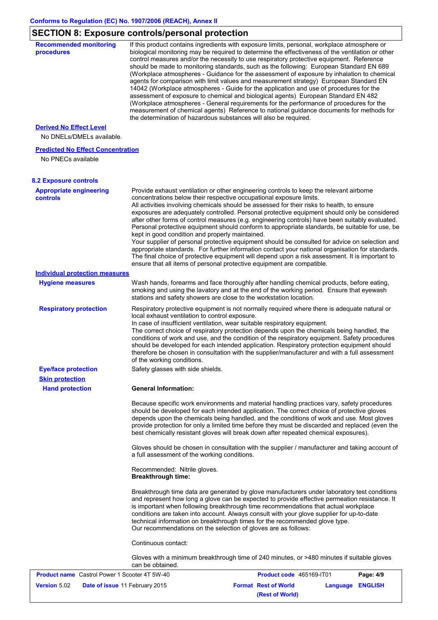# **SECTION 8: Exposure controls/personal protection**

| <b>Recommended monitoring</b><br>procedures                    | If this product contains ingredients with exposure limits, personal, workplace atmosphere or<br>biological monitoring may be required to determine the effectiveness of the ventilation or other<br>control measures and/or the necessity to use respiratory protective equipment. Reference<br>should be made to monitoring standards, such as the following: European Standard EN 689<br>(Workplace atmospheres - Guidance for the assessment of exposure by inhalation to chemical<br>agents for comparison with limit values and measurement strategy) European Standard EN<br>14042 (Workplace atmospheres - Guide for the application and use of procedures for the<br>assessment of exposure to chemical and biological agents) European Standard EN 482<br>(Workplace atmospheres - General requirements for the performance of procedures for the<br>measurement of chemical agents) Reference to national guidance documents for methods for<br>the determination of hazardous substances will also be required. |
|----------------------------------------------------------------|----------------------------------------------------------------------------------------------------------------------------------------------------------------------------------------------------------------------------------------------------------------------------------------------------------------------------------------------------------------------------------------------------------------------------------------------------------------------------------------------------------------------------------------------------------------------------------------------------------------------------------------------------------------------------------------------------------------------------------------------------------------------------------------------------------------------------------------------------------------------------------------------------------------------------------------------------------------------------------------------------------------------------|
| <b>Derived No Effect Level</b>                                 |                                                                                                                                                                                                                                                                                                                                                                                                                                                                                                                                                                                                                                                                                                                                                                                                                                                                                                                                                                                                                            |
| No DNELs/DMELs available.                                      |                                                                                                                                                                                                                                                                                                                                                                                                                                                                                                                                                                                                                                                                                                                                                                                                                                                                                                                                                                                                                            |
| <b>Predicted No Effect Concentration</b><br>No PNECs available |                                                                                                                                                                                                                                                                                                                                                                                                                                                                                                                                                                                                                                                                                                                                                                                                                                                                                                                                                                                                                            |
| <b>8.2 Exposure controls</b>                                   |                                                                                                                                                                                                                                                                                                                                                                                                                                                                                                                                                                                                                                                                                                                                                                                                                                                                                                                                                                                                                            |
| <b>Appropriate engineering</b><br><b>controls</b>              | Provide exhaust ventilation or other engineering controls to keep the relevant airborne<br>concentrations below their respective occupational exposure limits.<br>All activities involving chemicals should be assessed for their risks to health, to ensure<br>exposures are adequately controlled. Personal protective equipment should only be considered<br>after other forms of control measures (e.g. engineering controls) have been suitably evaluated.<br>Personal protective equipment should conform to appropriate standards, be suitable for use, be<br>kept in good condition and properly maintained.<br>Your supplier of personal protective equipment should be consulted for advice on selection and<br>appropriate standards. For further information contact your national organisation for standards.<br>The final choice of protective equipment will depend upon a risk assessment. It is important to<br>ensure that all items of personal protective equipment are compatible.                    |
| <b>Individual protection measures</b>                          |                                                                                                                                                                                                                                                                                                                                                                                                                                                                                                                                                                                                                                                                                                                                                                                                                                                                                                                                                                                                                            |
| <b>Hygiene measures</b>                                        | Wash hands, forearms and face thoroughly after handling chemical products, before eating,<br>smoking and using the lavatory and at the end of the working period. Ensure that eyewash<br>stations and safety showers are close to the workstation location.                                                                                                                                                                                                                                                                                                                                                                                                                                                                                                                                                                                                                                                                                                                                                                |
| <b>Respiratory protection</b>                                  | Respiratory protective equipment is not normally required where there is adequate natural or<br>local exhaust ventilation to control exposure.<br>In case of insufficient ventilation, wear suitable respiratory equipment.<br>The correct choice of respiratory protection depends upon the chemicals being handled, the<br>conditions of work and use, and the condition of the respiratory equipment. Safety procedures<br>should be developed for each intended application. Respiratory protection equipment should<br>therefore be chosen in consultation with the supplier/manufacturer and with a full assessment<br>of the working conditions.                                                                                                                                                                                                                                                                                                                                                                    |
| <b>Eye/face protection</b>                                     | Safety glasses with side shields.                                                                                                                                                                                                                                                                                                                                                                                                                                                                                                                                                                                                                                                                                                                                                                                                                                                                                                                                                                                          |
| <b>Skin protection</b><br><b>Hand protection</b>               | <b>General Information:</b>                                                                                                                                                                                                                                                                                                                                                                                                                                                                                                                                                                                                                                                                                                                                                                                                                                                                                                                                                                                                |
|                                                                | Because specific work environments and material handling practices vary, safety procedures<br>should be developed for each intended application. The correct choice of protective gloves<br>depends upon the chemicals being handled, and the conditions of work and use. Most gloves<br>provide protection for only a limited time before they must be discarded and replaced (even the<br>best chemically resistant gloves will break down after repeated chemical exposures).                                                                                                                                                                                                                                                                                                                                                                                                                                                                                                                                           |
|                                                                | Gloves should be chosen in consultation with the supplier / manufacturer and taking account of<br>a full assessment of the working conditions.                                                                                                                                                                                                                                                                                                                                                                                                                                                                                                                                                                                                                                                                                                                                                                                                                                                                             |
|                                                                | Recommended: Nitrile gloves.<br><b>Breakthrough time:</b>                                                                                                                                                                                                                                                                                                                                                                                                                                                                                                                                                                                                                                                                                                                                                                                                                                                                                                                                                                  |
|                                                                | Breakthrough time data are generated by glove manufacturers under laboratory test conditions<br>and represent how long a glove can be expected to provide effective permeation resistance. It<br>is important when following breakthrough time recommendations that actual workplace<br>conditions are taken into account. Always consult with your glove supplier for up-to-date<br>technical information on breakthrough times for the recommended glove type.<br>Our recommendations on the selection of gloves are as follows:                                                                                                                                                                                                                                                                                                                                                                                                                                                                                         |
|                                                                | Continuous contact:                                                                                                                                                                                                                                                                                                                                                                                                                                                                                                                                                                                                                                                                                                                                                                                                                                                                                                                                                                                                        |
|                                                                | Gloves with a minimum breakthrough time of 240 minutes, or >480 minutes if suitable gloves<br>can be obtained.                                                                                                                                                                                                                                                                                                                                                                                                                                                                                                                                                                                                                                                                                                                                                                                                                                                                                                             |
| <b>Product name</b> Castrol Power 1 Scooter 4T 5W-40           | Product code 465169-IT01<br>Page: 4/9                                                                                                                                                                                                                                                                                                                                                                                                                                                                                                                                                                                                                                                                                                                                                                                                                                                                                                                                                                                      |
| <b>Version 5.02</b>                                            | <b>Format Rest of World</b><br>Date of issue 11 February 2015<br><b>Language ENGLISH</b>                                                                                                                                                                                                                                                                                                                                                                                                                                                                                                                                                                                                                                                                                                                                                                                                                                                                                                                                   |

**(Rest of World)**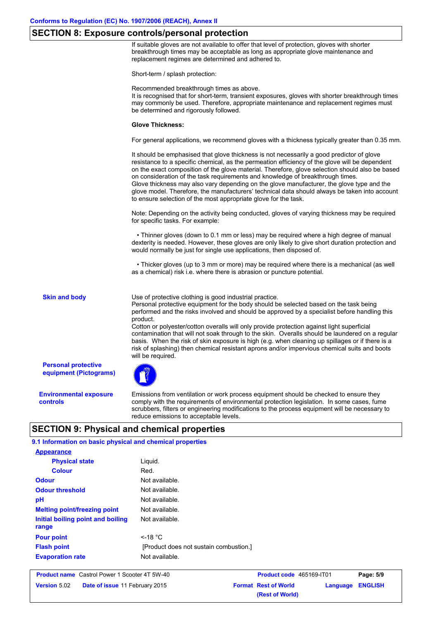# **SECTION 8: Exposure controls/personal protection**

If suitable gloves are not available to offer that level of protection, gloves with shorter breakthrough times may be acceptable as long as appropriate glove maintenance and replacement regimes are determined and adhered to.

Short-term / splash protection:

Recommended breakthrough times as above.

It is recognised that for short-term, transient exposures, gloves with shorter breakthrough times may commonly be used. Therefore, appropriate maintenance and replacement regimes must be determined and rigorously followed.

#### **Glove Thickness:**

For general applications, we recommend gloves with a thickness typically greater than 0.35 mm.

It should be emphasised that glove thickness is not necessarily a good predictor of glove resistance to a specific chemical, as the permeation efficiency of the glove will be dependent on the exact composition of the glove material. Therefore, glove selection should also be based on consideration of the task requirements and knowledge of breakthrough times. Glove thickness may also vary depending on the glove manufacturer, the glove type and the glove model. Therefore, the manufacturers' technical data should always be taken into account to ensure selection of the most appropriate glove for the task.

Note: Depending on the activity being conducted, gloves of varying thickness may be required for specific tasks. For example:

 • Thinner gloves (down to 0.1 mm or less) may be required where a high degree of manual dexterity is needed. However, these gloves are only likely to give short duration protection and would normally be just for single use applications, then disposed of.

 • Thicker gloves (up to 3 mm or more) may be required where there is a mechanical (as well as a chemical) risk i.e. where there is abrasion or puncture potential.

**Skin and body**

Use of protective clothing is good industrial practice.

Personal protective equipment for the body should be selected based on the task being performed and the risks involved and should be approved by a specialist before handling this product.

Cotton or polyester/cotton overalls will only provide protection against light superficial contamination that will not soak through to the skin. Overalls should be laundered on a regular basis. When the risk of skin exposure is high (e.g. when cleaning up spillages or if there is a risk of splashing) then chemical resistant aprons and/or impervious chemical suits and boots will be required.

**Personal protective equipment (Pictograms)**

**Environmental exposure controls**

Emissions from ventilation or work process equipment should be checked to ensure they comply with the requirements of environmental protection legislation. In some cases, fume scrubbers, filters or engineering modifications to the process equipment will be necessary to reduce emissions to acceptable levels.

**(Rest of World)**

# **SECTION 9: Physical and chemical properties**

| 9.1 Information on basic physical and chemical properties |                                        |                             |          |                |
|-----------------------------------------------------------|----------------------------------------|-----------------------------|----------|----------------|
| <b>Appearance</b>                                         |                                        |                             |          |                |
| <b>Physical state</b>                                     | Liquid.                                |                             |          |                |
| <b>Colour</b>                                             | Red.                                   |                             |          |                |
| <b>Odour</b>                                              | Not available.                         |                             |          |                |
| <b>Odour threshold</b>                                    | Not available.                         |                             |          |                |
| pH                                                        | Not available.                         |                             |          |                |
| <b>Melting point/freezing point</b>                       | Not available.                         |                             |          |                |
| Initial boiling point and boiling<br>range                | Not available.                         |                             |          |                |
| <b>Pour point</b>                                         | $\leq$ -18 °C                          |                             |          |                |
| <b>Flash point</b>                                        | [Product does not sustain combustion.] |                             |          |                |
| <b>Evaporation rate</b>                                   | Not available.                         |                             |          |                |
| <b>Product name</b> Castrol Power 1 Scooter 4T 5W-40      |                                        | Product code 465169-IT01    |          | Page: 5/9      |
| <b>Version 5.02</b><br>Date of issue 11 February 2015     |                                        | <b>Format Rest of World</b> | Language | <b>ENGLISH</b> |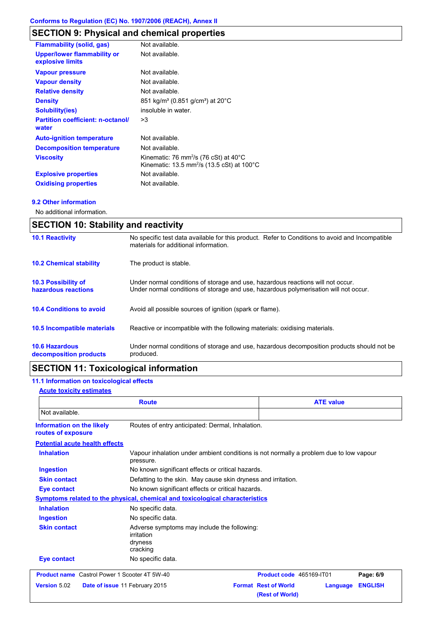# **SECTION 9: Physical and chemical properties**

| <b>Flammability (solid, gas)</b>                       | Not available.                                                                                                                   |
|--------------------------------------------------------|----------------------------------------------------------------------------------------------------------------------------------|
| <b>Upper/lower flammability or</b><br>explosive limits | Not available.                                                                                                                   |
| <b>Vapour pressure</b>                                 | Not available.                                                                                                                   |
| <b>Vapour density</b>                                  | Not available.                                                                                                                   |
| <b>Relative density</b>                                | Not available.                                                                                                                   |
| <b>Density</b>                                         | 851 kg/m <sup>3</sup> (0.851 g/cm <sup>3</sup> ) at 20°C                                                                         |
| <b>Solubility(ies)</b>                                 | insoluble in water.                                                                                                              |
| <b>Partition coefficient: n-octanol/</b><br>water      | >3                                                                                                                               |
| <b>Auto-ignition temperature</b>                       | Not available.                                                                                                                   |
| <b>Decomposition temperature</b>                       | Not available.                                                                                                                   |
| <b>Viscosity</b>                                       | Kinematic: 76 mm <sup>2</sup> /s (76 cSt) at $40^{\circ}$ C<br>Kinematic: 13.5 mm <sup>2</sup> /s (13.5 cSt) at 100 $^{\circ}$ C |
| <b>Explosive properties</b>                            | Not available.                                                                                                                   |
| <b>Oxidising properties</b>                            | Not available.                                                                                                                   |

## **9.2 Other information**

No additional information.

| <b>SECTION 10: Stability and reactivity</b>       |                                                                                                                                                                         |  |
|---------------------------------------------------|-------------------------------------------------------------------------------------------------------------------------------------------------------------------------|--|
| <b>10.1 Reactivity</b>                            | No specific test data available for this product. Refer to Conditions to avoid and Incompatible<br>materials for additional information.                                |  |
| <b>10.2 Chemical stability</b>                    | The product is stable.                                                                                                                                                  |  |
| <b>10.3 Possibility of</b><br>hazardous reactions | Under normal conditions of storage and use, hazardous reactions will not occur.<br>Under normal conditions of storage and use, hazardous polymerisation will not occur. |  |
| <b>10.4 Conditions to avoid</b>                   | Avoid all possible sources of ignition (spark or flame).                                                                                                                |  |
| <b>10.5 Incompatible materials</b>                | Reactive or incompatible with the following materials: oxidising materials.                                                                                             |  |
| <b>10.6 Hazardous</b><br>decomposition products   | Under normal conditions of storage and use, hazardous decomposition products should not be<br>produced.                                                                 |  |

# **SECTION 11: Toxicological information**

# **11.1 Information on toxicological effects**

## **Acute toxicity estimates**

| <b>Route</b>                                         |                                                                                                     | <b>ATE value</b>                                           |                |
|------------------------------------------------------|-----------------------------------------------------------------------------------------------------|------------------------------------------------------------|----------------|
| Not available.                                       |                                                                                                     |                                                            |                |
| Information on the likely<br>routes of exposure      | Routes of entry anticipated: Dermal, Inhalation.                                                    |                                                            |                |
| <b>Potential acute health effects</b>                |                                                                                                     |                                                            |                |
| <b>Inhalation</b>                                    | Vapour inhalation under ambient conditions is not normally a problem due to low vapour<br>pressure. |                                                            |                |
| <b>Ingestion</b>                                     | No known significant effects or critical hazards.                                                   |                                                            |                |
| <b>Skin contact</b>                                  | Defatting to the skin. May cause skin dryness and irritation.                                       |                                                            |                |
| <b>Eye contact</b>                                   | No known significant effects or critical hazards.                                                   |                                                            |                |
|                                                      | Symptoms related to the physical, chemical and toxicological characteristics                        |                                                            |                |
| <b>Inhalation</b>                                    | No specific data.                                                                                   |                                                            |                |
| <b>Ingestion</b>                                     | No specific data.                                                                                   |                                                            |                |
| <b>Skin contact</b>                                  | Adverse symptoms may include the following:<br>irritation<br>dryness<br>cracking                    |                                                            |                |
| <b>Eye contact</b>                                   | No specific data.                                                                                   |                                                            |                |
| <b>Product name</b> Castrol Power 1 Scooter 4T 5W-40 |                                                                                                     | Product code 465169-IT01                                   | Page: 6/9      |
| <b>Version 5.02</b>                                  | Date of issue 11 February 2015                                                                      | <b>Format Rest of World</b><br>Language<br>(Rest of World) | <b>ENGLISH</b> |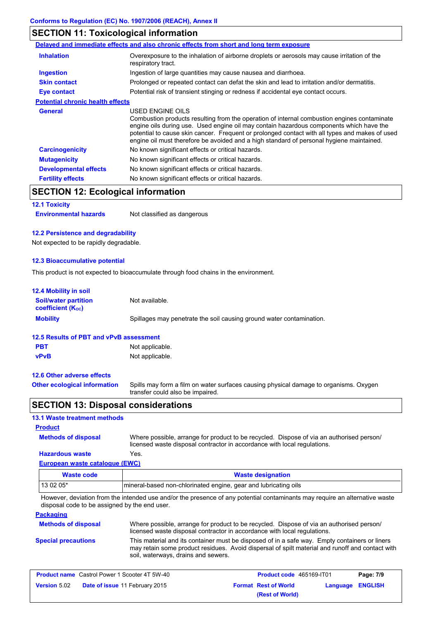# **SECTION 11: Toxicological information**

|                                         | Delayed and immediate effects and also chronic effects from short and long term exposure                                                                                                                                                                                                                                                                                                                 |  |
|-----------------------------------------|----------------------------------------------------------------------------------------------------------------------------------------------------------------------------------------------------------------------------------------------------------------------------------------------------------------------------------------------------------------------------------------------------------|--|
| <b>Inhalation</b>                       | Overexposure to the inhalation of airborne droplets or aerosols may cause irritation of the<br>respiratory tract.                                                                                                                                                                                                                                                                                        |  |
| <b>Ingestion</b>                        | Ingestion of large quantities may cause nausea and diarrhoea.                                                                                                                                                                                                                                                                                                                                            |  |
| <b>Skin contact</b>                     | Prolonged or repeated contact can defat the skin and lead to irritation and/or dermatitis.                                                                                                                                                                                                                                                                                                               |  |
| <b>Eye contact</b>                      | Potential risk of transient stinging or redness if accidental eye contact occurs.                                                                                                                                                                                                                                                                                                                        |  |
| <b>Potential chronic health effects</b> |                                                                                                                                                                                                                                                                                                                                                                                                          |  |
| <b>General</b>                          | USED ENGINE OILS<br>Combustion products resulting from the operation of internal combustion engines contaminate<br>engine oils during use. Used engine oil may contain hazardous components which have the<br>potential to cause skin cancer. Frequent or prolonged contact with all types and makes of used<br>engine oil must therefore be avoided and a high standard of personal hygiene maintained. |  |
| <b>Carcinogenicity</b>                  | No known significant effects or critical hazards.                                                                                                                                                                                                                                                                                                                                                        |  |
| <b>Mutagenicity</b>                     | No known significant effects or critical hazards.                                                                                                                                                                                                                                                                                                                                                        |  |
| <b>Developmental effects</b>            | No known significant effects or critical hazards.                                                                                                                                                                                                                                                                                                                                                        |  |
| <b>Fertility effects</b>                | No known significant effects or critical hazards.                                                                                                                                                                                                                                                                                                                                                        |  |

# **SECTION 12: Ecological information**

# **12.1 Toxicity**

**Environmental hazards** Not classified as dangerous

### **12.2 Persistence and degradability**

Not expected to be rapidly degradable.

## **12.3 Bioaccumulative potential**

This product is not expected to bioaccumulate through food chains in the environment.

| <b>12.4 Mobility in soil</b>                                                            |                                                                                                                           |
|-----------------------------------------------------------------------------------------|---------------------------------------------------------------------------------------------------------------------------|
| <b>Soil/water partition</b><br><b>coefficient</b> (K <sub>oc</sub> )                    | Not available.                                                                                                            |
| <b>Mobility</b><br>Spillages may penetrate the soil causing ground water contamination. |                                                                                                                           |
| 12.5 Results of PBT and vPvB assessment                                                 |                                                                                                                           |
| <b>PBT</b>                                                                              | Not applicable.                                                                                                           |
| <b>vPvB</b>                                                                             | Not applicable.                                                                                                           |
| 12.6 Other adverse effects                                                              |                                                                                                                           |
| <b>Other ecological information</b>                                                     | Spills may form a film on water surfaces causing physical damage to organisms. Oxygen<br>transfer could also be impaired. |

# **SECTION 13: Disposal considerations**

## **13.1 Waste treatment methods**

## **Product**

**Methods of disposal**

Where possible, arrange for product to be recycled. Dispose of via an authorised person/ licensed waste disposal contractor in accordance with local regulations.

## **European waste catalogue (EWC) Hazardous waste** Yes.

| Waste code                                                                   | <b>Waste designation</b> |
|------------------------------------------------------------------------------|--------------------------|
| 13 02 05*<br>mineral-based non-chlorinated engine, gear and lubricating oils |                          |

However, deviation from the intended use and/or the presence of any potential contaminants may require an alternative waste disposal code to be assigned by the end user.

## **Packaging**

| <b>Methods of disposal</b> | Where possible, arrange for product to be recycled. Dispose of via an authorised person/<br>licensed waste disposal contractor in accordance with local regulations.                                                                    |
|----------------------------|-----------------------------------------------------------------------------------------------------------------------------------------------------------------------------------------------------------------------------------------|
| <b>Special precautions</b> | This material and its container must be disposed of in a safe way. Empty containers or liners<br>may retain some product residues. Avoid dispersal of spilt material and runoff and contact with<br>soil, waterways, drains and sewers. |

| <b>Product name</b> Castrol Power 1 Scooter 4T 5W-40 |                                       | <b>Product code</b> 465169-IT01 |                             | Page: 7/9        |  |
|------------------------------------------------------|---------------------------------------|---------------------------------|-----------------------------|------------------|--|
| <b>Version</b> 5.02                                  | <b>Date of issue 11 February 2015</b> |                                 | <b>Format Rest of World</b> | Language ENGLISH |  |
|                                                      |                                       |                                 | (Rest of World)             |                  |  |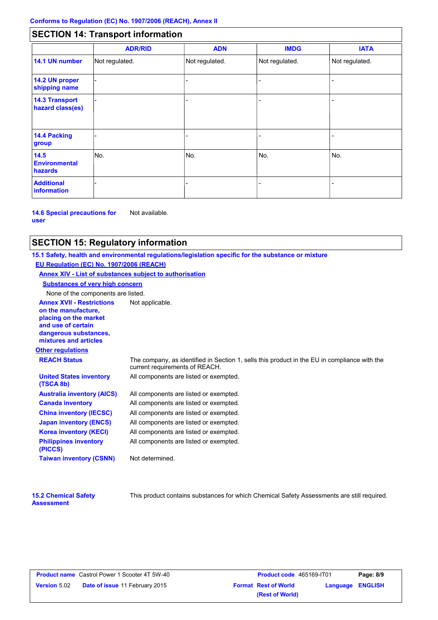# **SECTION 14: Transport information**

|                                           | <b>ADR/RID</b> | <b>ADN</b>     | <b>IMDG</b>    | <b>IATA</b>    |
|-------------------------------------------|----------------|----------------|----------------|----------------|
| 14.1 UN number                            | Not regulated. | Not regulated. | Not regulated. | Not regulated. |
| 14.2 UN proper<br>shipping name           |                |                |                |                |
| <b>14.3 Transport</b><br>hazard class(es) |                |                |                |                |
| <b>14.4 Packing</b><br>group              |                |                |                |                |
| 14.5<br><b>Environmental</b><br>hazards   | No.            | No.            | No.            | No.            |
| <b>Additional</b><br><b>information</b>   |                |                |                |                |

**14.6 Special precautions for user** Not available.

# **SECTION 15: Regulatory information**

**Other regulations Annex XVII - Restrictions** Not applicable. **on the manufacture, placing on the market and use of certain dangerous substances, mixtures and articles REACH Status** The company, as identified in Section 1, sells this product in the EU in compliance with the current requirements of REACH. **15.1 Safety, health and environmental regulations/legislation specific for the substance or mixture EU Regulation (EC) No. 1907/2006 (REACH) Annex XIV - List of substances subject to authorisation Substances of very high concern** None of the components are listed. All components are listed or exempted. All components are listed or exempted. All components are listed or exempted. All components are listed or exempted. All components are listed or exempted. All components are listed or exempted. All components are listed or exempted. **United States inventory (TSCA 8b) Australia inventory (AICS) Canada inventory China inventory (IECSC) Japan inventory (ENCS) Korea inventory (KECI) Philippines inventory (PICCS) Taiwan inventory (CSNN)** Not determined.

| <b>15.2 Chemical Safety</b> |  |
|-----------------------------|--|
| <b>Assessment</b>           |  |

This product contains substances for which Chemical Safety Assessments are still required.